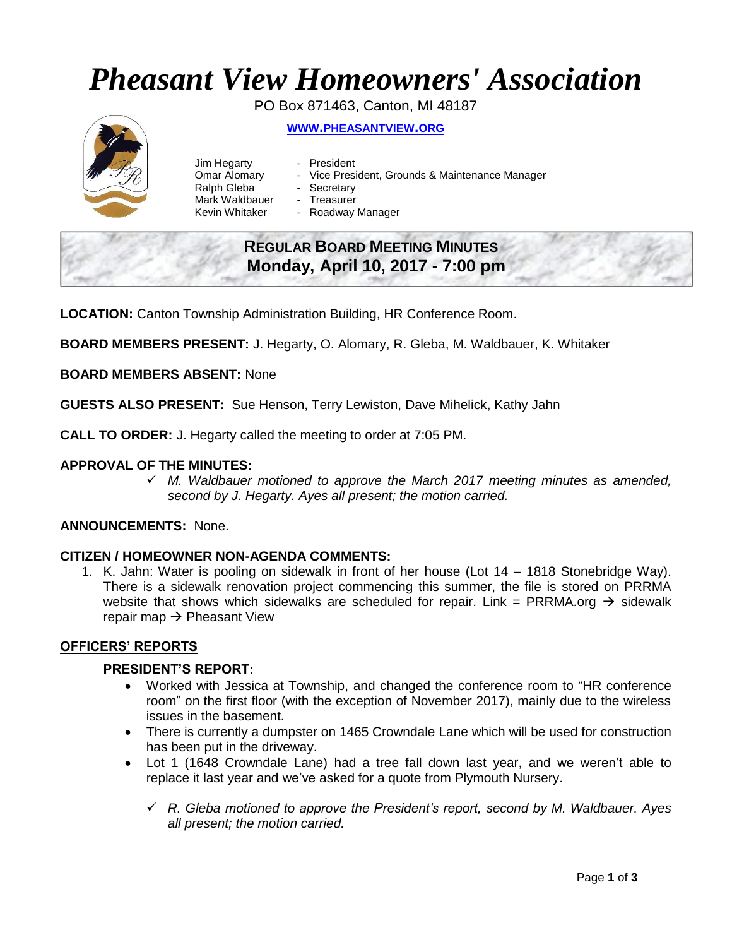# *Pheasant View Homeowners' Association*

PO Box 871463, Canton, MI 48187



**WWW.[PHEASANTVIEW](http://www.pheasantview.org/).ORG**

- Jim Hegarty **-** President Ralph Gleba - Secretary
	-
- Omar Alomary Vice President, Grounds & Maintenance Manager
	-
- Mark Waldbauer Treasurer
- Kevin Whitaker Roadway Manager

# **REGULAR BOARD MEETING MINUTES Monday, April 10, 2017 - 7:00 pm**

**LOCATION:** Canton Township Administration Building, HR Conference Room.

**BOARD MEMBERS PRESENT:** J. Hegarty, O. Alomary, R. Gleba, M. Waldbauer, K. Whitaker

**BOARD MEMBERS ABSENT:** None

**GUESTS ALSO PRESENT:** Sue Henson, Terry Lewiston, Dave Mihelick, Kathy Jahn

**CALL TO ORDER:** J. Hegarty called the meeting to order at 7:05 PM.

# **APPROVAL OF THE MINUTES:**

 *M. Waldbauer motioned to approve the March 2017 meeting minutes as amended, second by J. Hegarty. Ayes all present; the motion carried.*

# **ANNOUNCEMENTS:** None.

### **CITIZEN / HOMEOWNER NON-AGENDA COMMENTS:**

1. K. Jahn: Water is pooling on sidewalk in front of her house (Lot 14 – 1818 Stonebridge Way). There is a sidewalk renovation project commencing this summer, the file is stored on PRRMA website that shows which sidewalks are scheduled for repair. Link = PRRMA.org  $\rightarrow$  sidewalk repair map  $\rightarrow$  Pheasant View

# **OFFICERS' REPORTS**

### **PRESIDENT'S REPORT:**

- Worked with Jessica at Township, and changed the conference room to "HR conference room" on the first floor (with the exception of November 2017), mainly due to the wireless issues in the basement.
- There is currently a dumpster on 1465 Crowndale Lane which will be used for construction has been put in the driveway.
- Lot 1 (1648 Crowndale Lane) had a tree fall down last year, and we weren't able to replace it last year and we've asked for a quote from Plymouth Nursery.
	- *R. Gleba motioned to approve the President's report, second by M. Waldbauer. Ayes all present; the motion carried.*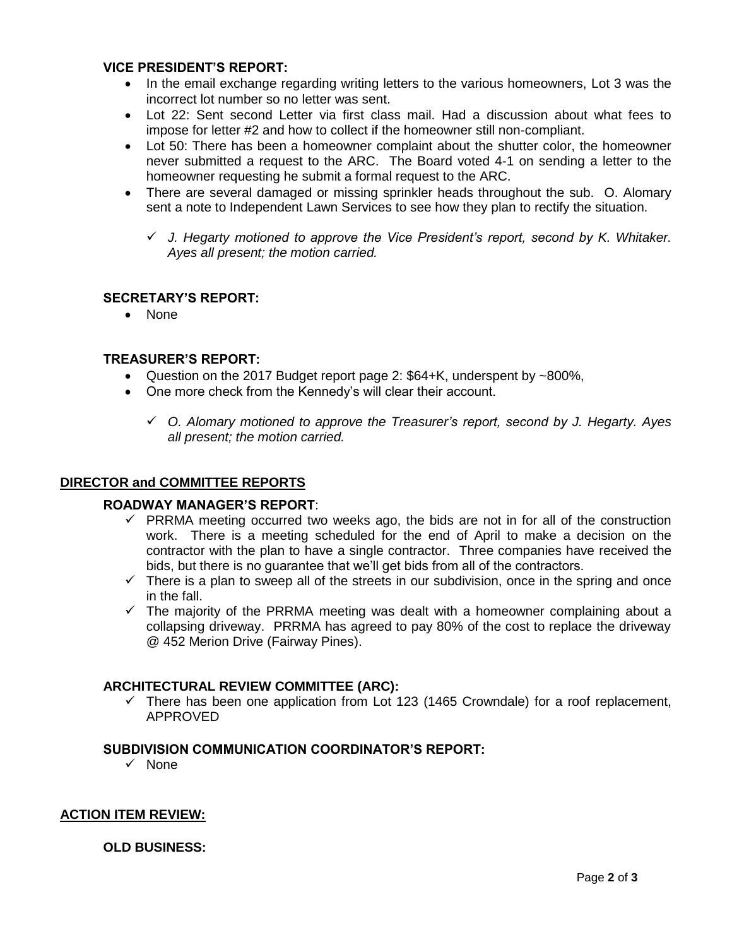## **VICE PRESIDENT'S REPORT:**

- In the email exchange regarding writing letters to the various homeowners, Lot 3 was the incorrect lot number so no letter was sent.
- Lot 22: Sent second Letter via first class mail. Had a discussion about what fees to impose for letter #2 and how to collect if the homeowner still non-compliant.
- Lot 50: There has been a homeowner complaint about the shutter color, the homeowner never submitted a request to the ARC. The Board voted 4-1 on sending a letter to the homeowner requesting he submit a formal request to the ARC.
- There are several damaged or missing sprinkler heads throughout the sub. O. Alomary sent a note to Independent Lawn Services to see how they plan to rectify the situation.
	- *J. Hegarty motioned to approve the Vice President's report, second by K. Whitaker. Ayes all present; the motion carried.*

# **SECRETARY'S REPORT:**

• None

# **TREASURER'S REPORT:**

- Question on the 2017 Budget report page 2:  $$64+K$ , underspent by  $~800\%$ ,
- One more check from the Kennedy's will clear their account.
	- *O. Alomary motioned to approve the Treasurer's report, second by J. Hegarty. Ayes all present; the motion carried.*

### **DIRECTOR and COMMITTEE REPORTS**

### **ROADWAY MANAGER'S REPORT**:

- $\checkmark$  PRRMA meeting occurred two weeks ago, the bids are not in for all of the construction work. There is a meeting scheduled for the end of April to make a decision on the contractor with the plan to have a single contractor. Three companies have received the bids, but there is no guarantee that we'll get bids from all of the contractors.
- $\checkmark$  There is a plan to sweep all of the streets in our subdivision, once in the spring and once in the fall.
- $\checkmark$  The majority of the PRRMA meeting was dealt with a homeowner complaining about a collapsing driveway. PRRMA has agreed to pay 80% of the cost to replace the driveway @ 452 Merion Drive (Fairway Pines).

# **ARCHITECTURAL REVIEW COMMITTEE (ARC):**

 $\checkmark$  There has been one application from Lot 123 (1465 Crowndale) for a roof replacement, APPROVED

# **SUBDIVISION COMMUNICATION COORDINATOR'S REPORT:**

 $\checkmark$  None

### **ACTION ITEM REVIEW:**

### **OLD BUSINESS:**